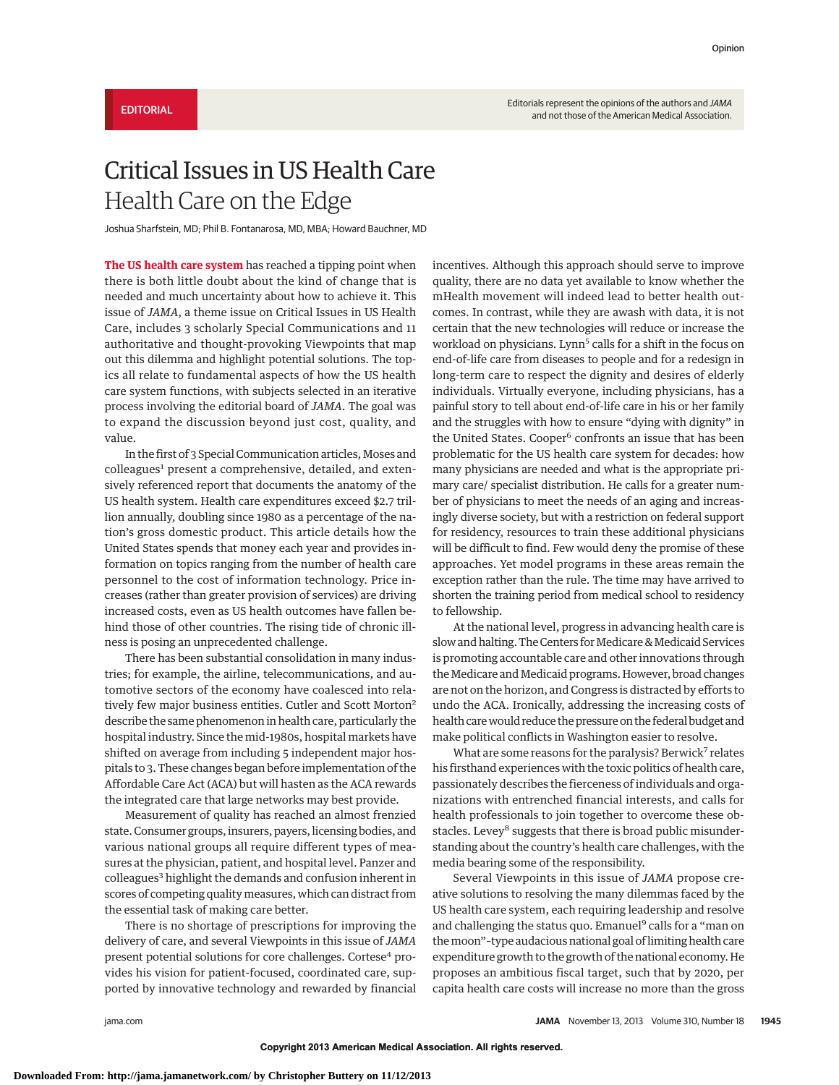## Critical Issues in US Health Care Health Care on the Edge

Joshua Sharfstein, MD; Phil B. Fontanarosa, MD, MBA; Howard Bauchner, MD

**The US health care system** has reached a tipping point when there is both little doubt about the kind of change that is needed and much uncertainty about how to achieve it. This issue of *JAMA*, a theme issue on Critical Issues in US Health Care, includes 3 scholarly Special Communications and 11 authoritative and thought-provoking Viewpoints that map out this dilemma and highlight potential solutions. The topics all relate to fundamental aspects of how the US health care system functions, with subjects selected in an iterative process involving the editorial board of *JAMA*. The goal was to expand the discussion beyond just cost, quality, and value.

In the first of 3 Special Communication articles, Moses and colleagues<sup>1</sup> present a comprehensive, detailed, and extensively referenced report that documents the anatomy of the US health system. Health care expenditures exceed \$2.7 trillion annually, doubling since 1980 as a percentage of the nation's gross domestic product. This article details how the United States spends that money each year and provides information on topics ranging from the number of health care personnel to the cost of information technology. Price increases (rather than greater provision of services) are driving increased costs, even as US health outcomes have fallen behind those of other countries. The rising tide of chronic illness is posing an unprecedented challenge.

There has been substantial consolidation in many industries; for example, the airline, telecommunications, and automotive sectors of the economy have coalesced into relatively few major business entities. Cutler and Scott Morton<sup>2</sup> describe the same phenomenon in health care, particularly the hospital industry. Since the mid-1980s, hospital markets have shifted on average from including 5 independent major hospitals to 3. These changes began before implementation of the Affordable Care Act (ACA) but will hasten as the ACA rewards the integrated care that large networks may best provide.

Measurement of quality has reached an almost frenzied state. Consumer groups, insurers, payers, licensing bodies, and various national groups all require different types of measures at the physician, patient, and hospital level. Panzer and colleagues<sup>3</sup> highlight the demands and confusion inherent in scores of competing quality measures, which can distract from the essential task of making care better.

There is no shortage of prescriptions for improving the delivery of care, and several Viewpoints in this issue of *JAMA* present potential solutions for core challenges. Cortese<sup>4</sup> provides his vision for patient-focused, coordinated care, supported by innovative technology and rewarded by financial

incentives. Although this approach should serve to improve quality, there are no data yet available to know whether the mHealth movement will indeed lead to better health outcomes. In contrast, while they are awash with data, it is not certain that the new technologies will reduce or increase the workload on physicians. Lynn<sup>5</sup> calls for a shift in the focus on end-of-life care from diseases to people and for a redesign in long-term care to respect the dignity and desires of elderly individuals. Virtually everyone, including physicians, has a painful story to tell about end-of-life care in his or her family and the struggles with how to ensure "dying with dignity" in the United States. Cooper<sup>6</sup> confronts an issue that has been problematic for the US health care system for decades: how many physicians are needed and what is the appropriate primary care/ specialist distribution. He calls for a greater number of physicians to meet the needs of an aging and increasingly diverse society, but with a restriction on federal support for residency, resources to train these additional physicians will be difficult to find. Few would deny the promise of these approaches. Yet model programs in these areas remain the exception rather than the rule. The time may have arrived to shorten the training period from medical school to residency to fellowship.

At the national level, progress in advancing health care is slow and halting. The Centers for Medicare & Medicaid Services is promoting accountable care and other innovations through the Medicare and Medicaid programs. However, broad changes are not on the horizon, and Congress is distracted by efforts to undo the ACA. Ironically, addressing the increasing costs of health care would reduce the pressure on the federal budget and make political conflicts in Washington easier to resolve.

What are some reasons for the paralysis? Berwick<sup>7</sup> relates his firsthand experiences with the toxic politics of health care, passionately describes the fierceness of individuals and organizations with entrenched financial interests, and calls for health professionals to join together to overcome these obstacles. Levey<sup>8</sup> suggests that there is broad public misunderstanding about the country's health care challenges, with the media bearing some of the responsibility.

Several Viewpoints in this issue of *JAMA* propose creative solutions to resolving the many dilemmas faced by the US health care system, each requiring leadership and resolve and challenging the status quo. Emanuel<sup>9</sup> calls for a "man on themoon"–type audacious national goal of limiting health care expenditure growth to the growth of the national economy. He proposes an ambitious fiscal target, such that by 2020, per capita health care costs will increase no more than the gross